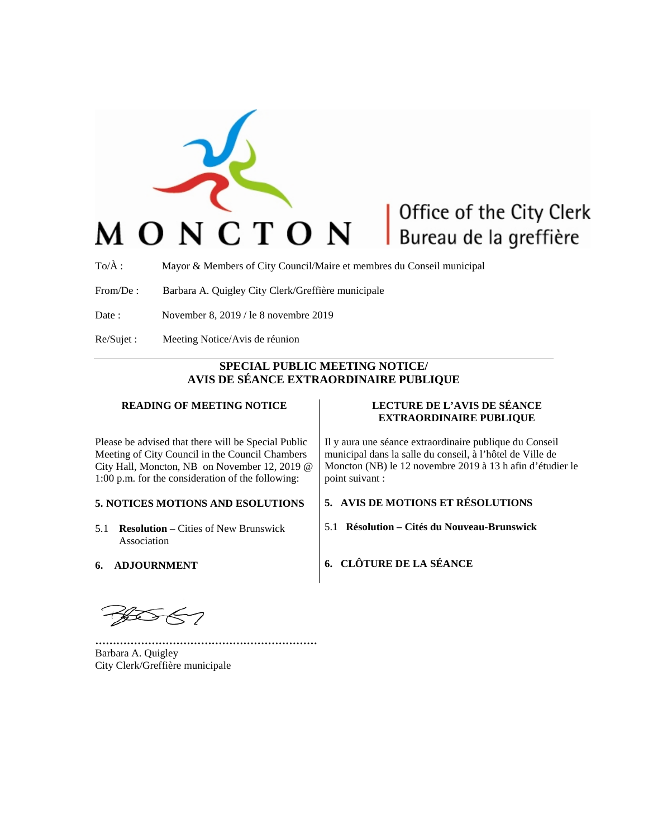

## Office of the City Clerk Bureau de la greffière

To/À : Mayor & Members of City Council/Maire et membres du Conseil municipal

From/De : Barbara A. Quigley City Clerk/Greffière municipale

- Date : November 8, 2019 / le 8 novembre 2019
- Re/Sujet : Meeting Notice/Avis de réunion

### **SPECIAL PUBLIC MEETING NOTICE/ AVIS DE SÉANCE EXTRAORDINAIRE PUBLIQUE**

#### **READING OF MEETING NOTICE**

Please be advised that there will be Special Public Meeting of City Council in the Council Chambers City Hall, Moncton, NB on November 12, 2019 @ 1:00 p.m. for the consideration of the following:

### **5. NOTICES MOTIONS AND ESOLUTIONS**

- 5.1 **Resolution** Cities of New Brunswick Association
- **6. ADJOURNMENT**

# **EXTRAORDINAIRE PUBLIQUE**

**LECTURE DE L'AVIS DE SÉANCE** 

Il y aura une séance extraordinaire publique du Conseil municipal dans la salle du conseil, à l'hôtel de Ville de Moncton (NB) le 12 novembre 2019 à 13 h afin d'étudier le point suivant :

#### **5. AVIS DE MOTIONS ET RÉSOLUTIONS**

5.1 **Résolution – Cités du Nouveau-Brunswick**

**6. CLÔTURE DE LA SÉANCE**

**………………………………………………………** Barbara A. Quigley City Clerk/Greffière municipale